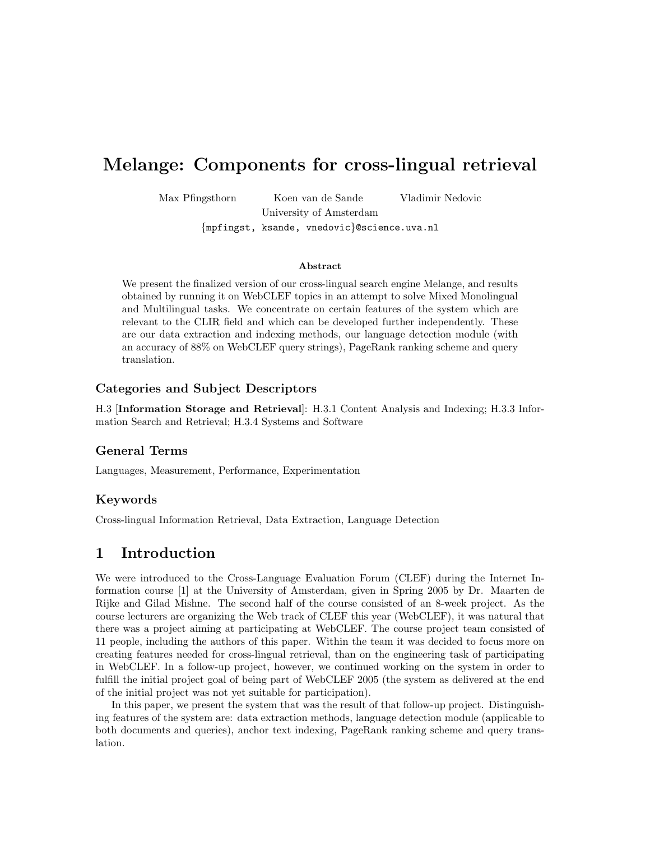# Melange: Components for cross-lingual retrieval

Max Pfingsthorn Koen van de Sande Vladimir Nedovic

University of Amsterdam

{mpfingst, ksande, vnedovic}@science.uva.nl

#### Abstract

We present the finalized version of our cross-lingual search engine Melange, and results obtained by running it on WebCLEF topics in an attempt to solve Mixed Monolingual and Multilingual tasks. We concentrate on certain features of the system which are relevant to the CLIR field and which can be developed further independently. These are our data extraction and indexing methods, our language detection module (with an accuracy of 88% on WebCLEF query strings), PageRank ranking scheme and query translation.

#### Categories and Subject Descriptors

H.3 [Information Storage and Retrieval]: H.3.1 Content Analysis and Indexing; H.3.3 Information Search and Retrieval; H.3.4 Systems and Software

#### General Terms

Languages, Measurement, Performance, Experimentation

#### Keywords

Cross-lingual Information Retrieval, Data Extraction, Language Detection

# 1 Introduction

We were introduced to the Cross-Language Evaluation Forum (CLEF) during the Internet Information course [1] at the University of Amsterdam, given in Spring 2005 by Dr. Maarten de Rijke and Gilad Mishne. The second half of the course consisted of an 8-week project. As the course lecturers are organizing the Web track of CLEF this year (WebCLEF), it was natural that there was a project aiming at participating at WebCLEF. The course project team consisted of 11 people, including the authors of this paper. Within the team it was decided to focus more on creating features needed for cross-lingual retrieval, than on the engineering task of participating in WebCLEF. In a follow-up project, however, we continued working on the system in order to fulfill the initial project goal of being part of WebCLEF 2005 (the system as delivered at the end of the initial project was not yet suitable for participation).

In this paper, we present the system that was the result of that follow-up project. Distinguishing features of the system are: data extraction methods, language detection module (applicable to both documents and queries), anchor text indexing, PageRank ranking scheme and query translation.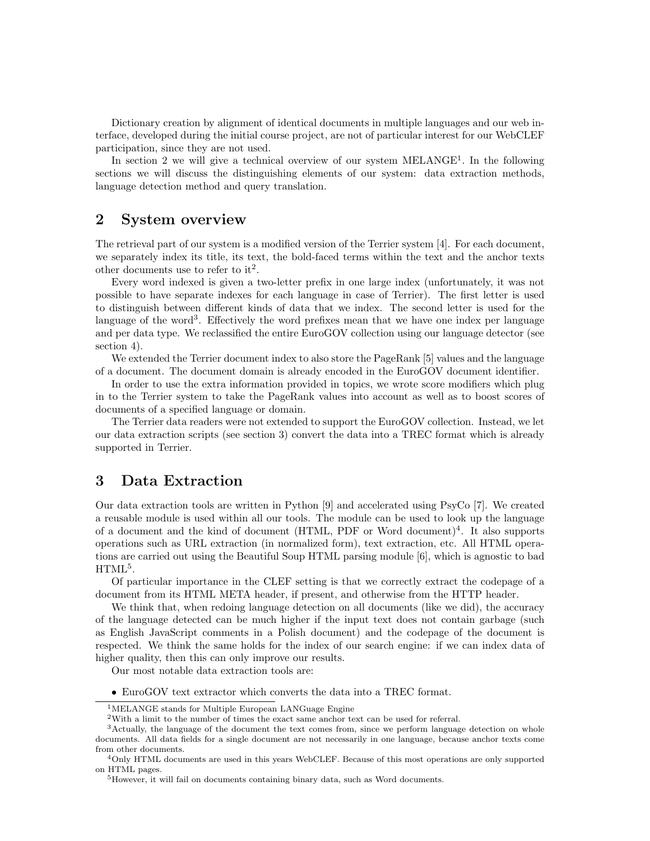Dictionary creation by alignment of identical documents in multiple languages and our web interface, developed during the initial course project, are not of particular interest for our WebCLEF participation, since they are not used.

In section 2 we will give a technical overview of our system  $MELANGE<sup>1</sup>$ . In the following sections we will discuss the distinguishing elements of our system: data extraction methods, language detection method and query translation.

#### 2 System overview

The retrieval part of our system is a modified version of the Terrier system [4]. For each document, we separately index its title, its text, the bold-faced terms within the text and the anchor texts other documents use to refer to it<sup>2</sup>.

Every word indexed is given a two-letter prefix in one large index (unfortunately, it was not possible to have separate indexes for each language in case of Terrier). The first letter is used to distinguish between different kinds of data that we index. The second letter is used for the language of the word<sup>3</sup>. Effectively the word prefixes mean that we have one index per language and per data type. We reclassified the entire EuroGOV collection using our language detector (see section 4).

We extended the Terrier document index to also store the PageRank [5] values and the language of a document. The document domain is already encoded in the EuroGOV document identifier.

In order to use the extra information provided in topics, we wrote score modifiers which plug in to the Terrier system to take the PageRank values into account as well as to boost scores of documents of a specified language or domain.

The Terrier data readers were not extended to support the EuroGOV collection. Instead, we let our data extraction scripts (see section 3) convert the data into a TREC format which is already supported in Terrier.

#### 3 Data Extraction

Our data extraction tools are written in Python [9] and accelerated using PsyCo [7]. We created a reusable module is used within all our tools. The module can be used to look up the language of a document and the kind of document (HTML, PDF or Word document)<sup>4</sup>. It also supports operations such as URL extraction (in normalized form), text extraction, etc. All HTML operations are carried out using the Beautiful Soup HTML parsing module [6], which is agnostic to bad  $\mathrm{HTML}^5$ .

Of particular importance in the CLEF setting is that we correctly extract the codepage of a document from its HTML META header, if present, and otherwise from the HTTP header.

We think that, when redoing language detection on all documents (like we did), the accuracy of the language detected can be much higher if the input text does not contain garbage (such as English JavaScript comments in a Polish document) and the codepage of the document is respected. We think the same holds for the index of our search engine: if we can index data of higher quality, then this can only improve our results.

Our most notable data extraction tools are:

• EuroGOV text extractor which converts the data into a TREC format.

<sup>&</sup>lt;sup>1</sup>MELANGE stands for Multiple European LANGuage Engine

 $2$ With a limit to the number of times the exact same anchor text can be used for referral.

<sup>3</sup>Actually, the language of the document the text comes from, since we perform language detection on whole documents. All data fields for a single document are not necessarily in one language, because anchor texts come from other documents.

<sup>4</sup>Only HTML documents are used in this years WebCLEF. Because of this most operations are only supported on HTML pages.

<sup>&</sup>lt;sup>5</sup>However, it will fail on documents containing binary data, such as Word documents.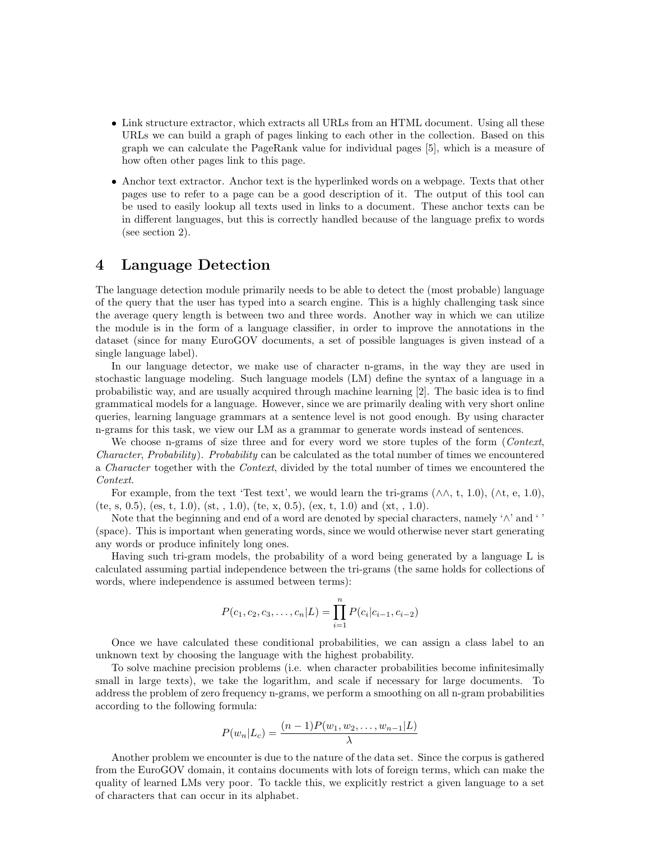- Link structure extractor, which extracts all URLs from an HTML document. Using all these URLs we can build a graph of pages linking to each other in the collection. Based on this graph we can calculate the PageRank value for individual pages [5], which is a measure of how often other pages link to this page.
- Anchor text extractor. Anchor text is the hyperlinked words on a webpage. Texts that other pages use to refer to a page can be a good description of it. The output of this tool can be used to easily lookup all texts used in links to a document. These anchor texts can be in different languages, but this is correctly handled because of the language prefix to words (see section 2).

### 4 Language Detection

The language detection module primarily needs to be able to detect the (most probable) language of the query that the user has typed into a search engine. This is a highly challenging task since the average query length is between two and three words. Another way in which we can utilize the module is in the form of a language classifier, in order to improve the annotations in the dataset (since for many EuroGOV documents, a set of possible languages is given instead of a single language label).

In our language detector, we make use of character n-grams, in the way they are used in stochastic language modeling. Such language models (LM) define the syntax of a language in a probabilistic way, and are usually acquired through machine learning [2]. The basic idea is to find grammatical models for a language. However, since we are primarily dealing with very short online queries, learning language grammars at a sentence level is not good enough. By using character n-grams for this task, we view our LM as a grammar to generate words instead of sentences.

We choose n-grams of size three and for every word we store tuples of the form (Context, Character, Probability). Probability can be calculated as the total number of times we encountered a *Character* together with the *Context*, divided by the total number of times we encountered the Context.

For example, from the text 'Test text', we would learn the tri-grams  $(\wedge \wedge, t, 1.0)$ ,  $(\wedge t, e, 1.0)$ , (te, s, 0.5), (es, t, 1.0), (st, , 1.0), (te, x, 0.5), (ex, t, 1.0) and (xt, , 1.0).

Note that the beginning and end of a word are denoted by special characters, namely ' $\wedge$ ' and ' (space). This is important when generating words, since we would otherwise never start generating any words or produce infinitely long ones.

Having such tri-gram models, the probability of a word being generated by a language L is calculated assuming partial independence between the tri-grams (the same holds for collections of words, where independence is assumed between terms):

$$
P(c_1, c_2, c_3, \dots, c_n | L) = \prod_{i=1}^n P(c_i | c_{i-1}, c_{i-2})
$$

Once we have calculated these conditional probabilities, we can assign a class label to an unknown text by choosing the language with the highest probability.

To solve machine precision problems (i.e. when character probabilities become infinitesimally small in large texts), we take the logarithm, and scale if necessary for large documents. To address the problem of zero frequency n-grams, we perform a smoothing on all n-gram probabilities according to the following formula:

$$
P(w_n|L_c) = \frac{(n-1)P(w_1, w_2, \dots, w_{n-1}|L)}{\lambda}
$$

Another problem we encounter is due to the nature of the data set. Since the corpus is gathered from the EuroGOV domain, it contains documents with lots of foreign terms, which can make the quality of learned LMs very poor. To tackle this, we explicitly restrict a given language to a set of characters that can occur in its alphabet.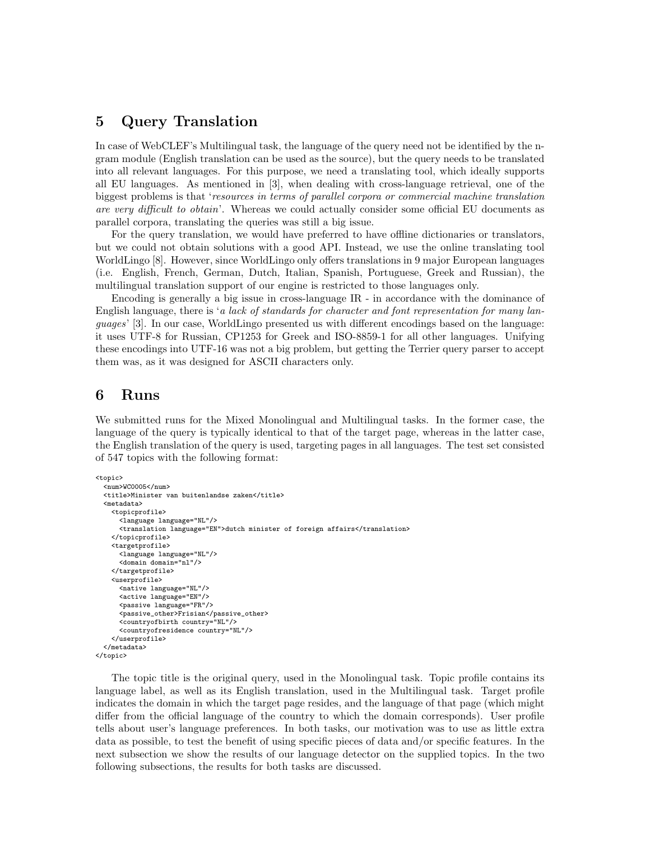### 5 Query Translation

In case of WebCLEF's Multilingual task, the language of the query need not be identified by the ngram module (English translation can be used as the source), but the query needs to be translated into all relevant languages. For this purpose, we need a translating tool, which ideally supports all EU languages. As mentioned in [3], when dealing with cross-language retrieval, one of the biggest problems is that 'resources in terms of parallel corpora or commercial machine translation are very difficult to obtain'. Whereas we could actually consider some official EU documents as parallel corpora, translating the queries was still a big issue.

For the query translation, we would have preferred to have offline dictionaries or translators, but we could not obtain solutions with a good API. Instead, we use the online translating tool WorldLingo [8]. However, since WorldLingo only offers translations in 9 major European languages (i.e. English, French, German, Dutch, Italian, Spanish, Portuguese, Greek and Russian), the multilingual translation support of our engine is restricted to those languages only.

Encoding is generally a big issue in cross-language IR - in accordance with the dominance of English language, there is 'a lack of standards for character and font representation for many languages' [3]. In our case, WorldLingo presented us with different encodings based on the language: it uses UTF-8 for Russian, CP1253 for Greek and ISO-8859-1 for all other languages. Unifying these encodings into UTF-16 was not a big problem, but getting the Terrier query parser to accept them was, as it was designed for ASCII characters only.

### 6 Runs

We submitted runs for the Mixed Monolingual and Multilingual tasks. In the former case, the language of the query is typically identical to that of the target page, whereas in the latter case, the English translation of the query is used, targeting pages in all languages. The test set consisted of 547 topics with the following format:

```
<topic>
  <num>WC0005</num>
  <title>Minister van buitenlandse zaken</title>
  <metadata>
   <topicprofile>
      <language language="NL"/>
      <translation language="EN">dutch minister of foreign affairs</translation>
    </topicprofile>
    <targetprofile>
      <language language="NL"/>
      <domain domain="nl"/>
   </targetprofile>
    <userprofile>
      <native language="NL"/>
      <active language="EN"/>
      <passive language="FR"/>
      <passive_other>Frisian</passive_other>
      <countryofbirth country="NL"/>
      <countryofresidence country="NL"/>
    </userprofile>
  </metadata>
</topic>
```
The topic title is the original query, used in the Monolingual task. Topic profile contains its language label, as well as its English translation, used in the Multilingual task. Target profile indicates the domain in which the target page resides, and the language of that page (which might differ from the official language of the country to which the domain corresponds). User profile tells about user's language preferences. In both tasks, our motivation was to use as little extra data as possible, to test the benefit of using specific pieces of data and/or specific features. In the next subsection we show the results of our language detector on the supplied topics. In the two following subsections, the results for both tasks are discussed.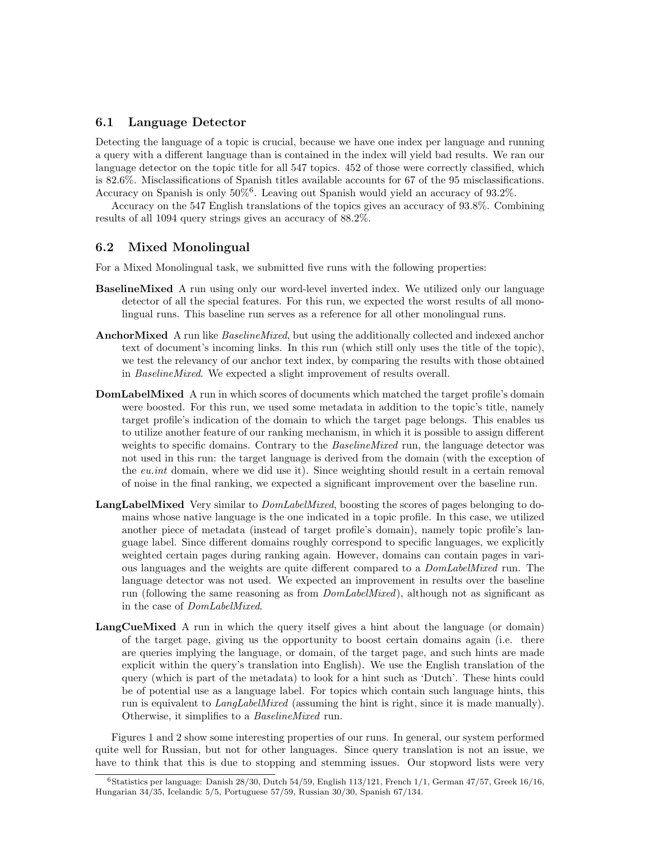#### 6.1 Language Detector

Detecting the language of a topic is crucial, because we have one index per language and running a query with a different language than is contained in the index will yield bad results. We ran our language detector on the topic title for all 547 topics. 452 of those were correctly classified, which is 82.6%. Misclassifications of Spanish titles available accounts for 67 of the 95 misclassifications. Accuracy on Spanish is only 50%<sup>6</sup> . Leaving out Spanish would yield an accuracy of 93.2%.

Accuracy on the 547 English translations of the topics gives an accuracy of 93.8%. Combining results of all 1094 query strings gives an accuracy of 88.2%.

#### 6.2 Mixed Monolingual

For a Mixed Monolingual task, we submitted five runs with the following properties:

- BaselineMixed A run using only our word-level inverted index. We utilized only our language detector of all the special features. For this run, we expected the worst results of all monolingual runs. This baseline run serves as a reference for all other monolingual runs.
- AnchorMixed A run like *BaselineMixed*, but using the additionally collected and indexed anchor text of document's incoming links. In this run (which still only uses the title of the topic), we test the relevancy of our anchor text index, by comparing the results with those obtained in BaselineMixed. We expected a slight improvement of results overall.
- **DomLabelMixed** A run in which scores of documents which matched the target profile's domain were boosted. For this run, we used some metadata in addition to the topic's title, namely target profile's indication of the domain to which the target page belongs. This enables us to utilize another feature of our ranking mechanism, in which it is possible to assign different weights to specific domains. Contrary to the *BaselineMixed* run, the language detector was not used in this run: the target language is derived from the domain (with the exception of the eu.int domain, where we did use it). Since weighting should result in a certain removal of noise in the final ranking, we expected a significant improvement over the baseline run.
- LangLabelMixed Very similar to  $DomLabelMixed$ , boosting the scores of pages belonging to domains whose native language is the one indicated in a topic profile. In this case, we utilized another piece of metadata (instead of target profile's domain), namely topic profile's language label. Since different domains roughly correspond to specific languages, we explicitly weighted certain pages during ranking again. However, domains can contain pages in various languages and the weights are quite different compared to a DomLabelMixed run. The language detector was not used. We expected an improvement in results over the baseline run (following the same reasoning as from DomLabelMixed), although not as significant as in the case of DomLabelMixed.
- LangCueMixed A run in which the query itself gives a hint about the language (or domain) of the target page, giving us the opportunity to boost certain domains again (i.e. there are queries implying the language, or domain, of the target page, and such hints are made explicit within the query's translation into English). We use the English translation of the query (which is part of the metadata) to look for a hint such as 'Dutch'. These hints could be of potential use as a language label. For topics which contain such language hints, this run is equivalent to LangLabelMixed (assuming the hint is right, since it is made manually). Otherwise, it simplifies to a BaselineMixed run.

Figures 1 and 2 show some interesting properties of our runs. In general, our system performed quite well for Russian, but not for other languages. Since query translation is not an issue, we have to think that this is due to stopping and stemming issues. Our stopword lists were very

 $6$ Statistics per language: Danish 28/30, Dutch 54/59, English 113/121, French 1/1, German 47/57, Greek 16/16, Hungarian 34/35, Icelandic 5/5, Portuguese 57/59, Russian 30/30, Spanish 67/134.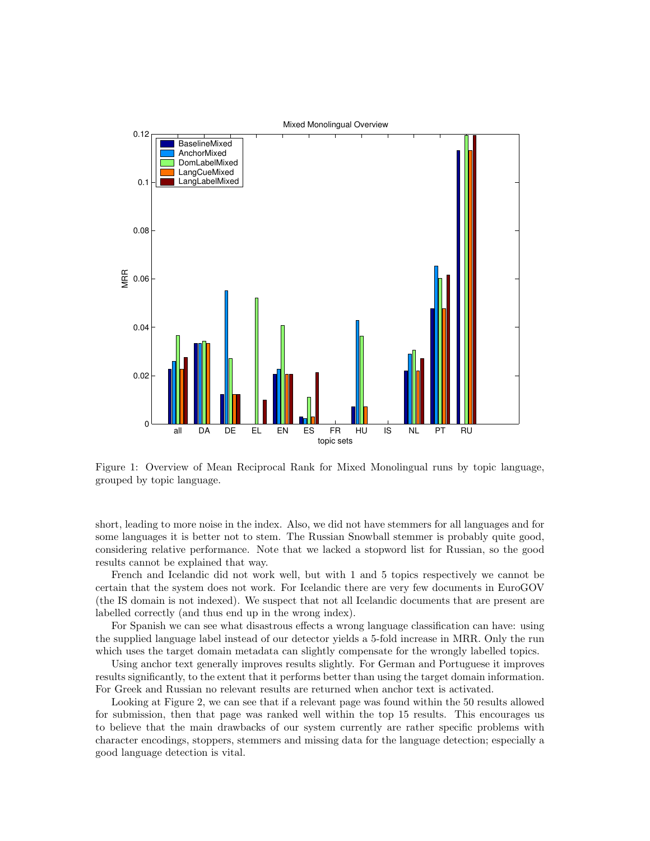

Figure 1: Overview of Mean Reciprocal Rank for Mixed Monolingual runs by topic language, grouped by topic language.

short, leading to more noise in the index. Also, we did not have stemmers for all languages and for some languages it is better not to stem. The Russian Snowball stemmer is probably quite good, considering relative performance. Note that we lacked a stopword list for Russian, so the good results cannot be explained that way.

French and Icelandic did not work well, but with 1 and 5 topics respectively we cannot be certain that the system does not work. For Icelandic there are very few documents in EuroGOV (the IS domain is not indexed). We suspect that not all Icelandic documents that are present are labelled correctly (and thus end up in the wrong index).

For Spanish we can see what disastrous effects a wrong language classification can have: using the supplied language label instead of our detector yields a 5-fold increase in MRR. Only the run which uses the target domain metadata can slightly compensate for the wrongly labelled topics.

Using anchor text generally improves results slightly. For German and Portuguese it improves results significantly, to the extent that it performs better than using the target domain information. For Greek and Russian no relevant results are returned when anchor text is activated.

Looking at Figure 2, we can see that if a relevant page was found within the 50 results allowed for submission, then that page was ranked well within the top 15 results. This encourages us to believe that the main drawbacks of our system currently are rather specific problems with character encodings, stoppers, stemmers and missing data for the language detection; especially a good language detection is vital.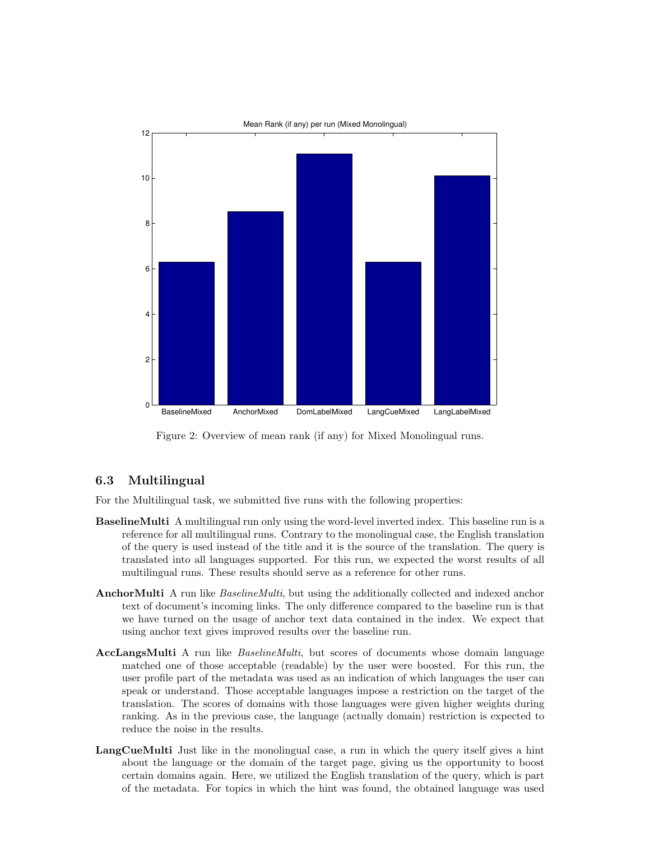

Figure 2: Overview of mean rank (if any) for Mixed Monolingual runs.

#### 6.3 Multilingual

For the Multilingual task, we submitted five runs with the following properties:

- BaselineMulti A multilingual run only using the word-level inverted index. This baseline run is a reference for all multilingual runs. Contrary to the monolingual case, the English translation of the query is used instead of the title and it is the source of the translation. The query is translated into all languages supported. For this run, we expected the worst results of all multilingual runs. These results should serve as a reference for other runs.
- AnchorMulti A run like *BaselineMulti*, but using the additionally collected and indexed anchor text of document's incoming links. The only difference compared to the baseline run is that we have turned on the usage of anchor text data contained in the index. We expect that using anchor text gives improved results over the baseline run.
- AccLangsMulti A run like *BaselineMulti*, but scores of documents whose domain language matched one of those acceptable (readable) by the user were boosted. For this run, the user profile part of the metadata was used as an indication of which languages the user can speak or understand. Those acceptable languages impose a restriction on the target of the translation. The scores of domains with those languages were given higher weights during ranking. As in the previous case, the language (actually domain) restriction is expected to reduce the noise in the results.
- LangCueMulti Just like in the monolingual case, a run in which the query itself gives a hint about the language or the domain of the target page, giving us the opportunity to boost certain domains again. Here, we utilized the English translation of the query, which is part of the metadata. For topics in which the hint was found, the obtained language was used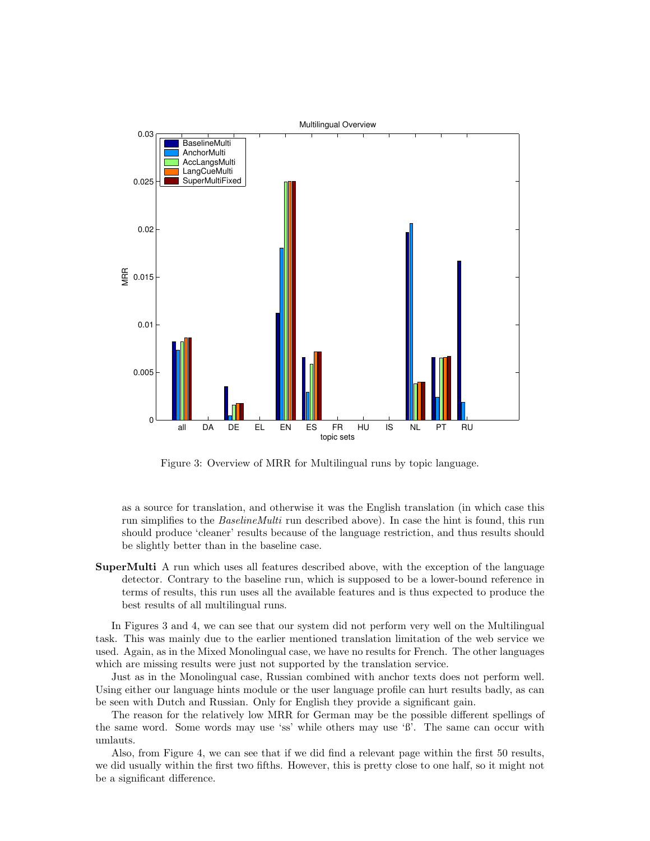

Figure 3: Overview of MRR for Multilingual runs by topic language.

as a source for translation, and otherwise it was the English translation (in which case this run simplifies to the BaselineMulti run described above). In case the hint is found, this run should produce 'cleaner' results because of the language restriction, and thus results should be slightly better than in the baseline case.

SuperMulti A run which uses all features described above, with the exception of the language detector. Contrary to the baseline run, which is supposed to be a lower-bound reference in terms of results, this run uses all the available features and is thus expected to produce the best results of all multilingual runs.

In Figures 3 and 4, we can see that our system did not perform very well on the Multilingual task. This was mainly due to the earlier mentioned translation limitation of the web service we used. Again, as in the Mixed Monolingual case, we have no results for French. The other languages which are missing results were just not supported by the translation service.

Just as in the Monolingual case, Russian combined with anchor texts does not perform well. Using either our language hints module or the user language profile can hurt results badly, as can be seen with Dutch and Russian. Only for English they provide a significant gain.

The reason for the relatively low MRR for German may be the possible different spellings of the same word. Some words may use 'ss' while others may use 'ß'. The same can occur with umlauts.

Also, from Figure 4, we can see that if we did find a relevant page within the first 50 results, we did usually within the first two fifths. However, this is pretty close to one half, so it might not be a significant difference.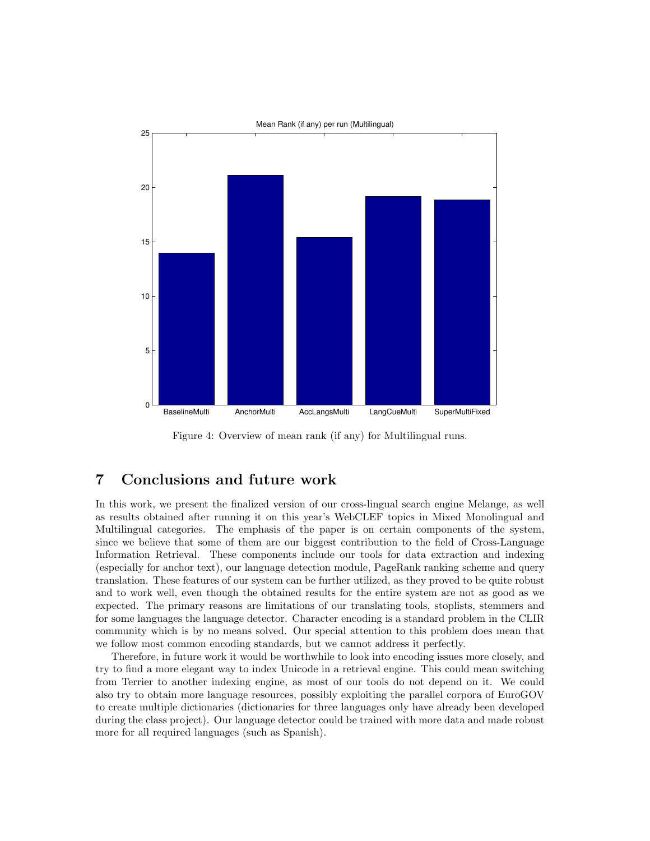

Figure 4: Overview of mean rank (if any) for Multilingual runs.

### 7 Conclusions and future work

In this work, we present the finalized version of our cross-lingual search engine Melange, as well as results obtained after running it on this year's WebCLEF topics in Mixed Monolingual and Multilingual categories. The emphasis of the paper is on certain components of the system, since we believe that some of them are our biggest contribution to the field of Cross-Language Information Retrieval. These components include our tools for data extraction and indexing (especially for anchor text), our language detection module, PageRank ranking scheme and query translation. These features of our system can be further utilized, as they proved to be quite robust and to work well, even though the obtained results for the entire system are not as good as we expected. The primary reasons are limitations of our translating tools, stoplists, stemmers and for some languages the language detector. Character encoding is a standard problem in the CLIR community which is by no means solved. Our special attention to this problem does mean that we follow most common encoding standards, but we cannot address it perfectly.

Therefore, in future work it would be worthwhile to look into encoding issues more closely, and try to find a more elegant way to index Unicode in a retrieval engine. This could mean switching from Terrier to another indexing engine, as most of our tools do not depend on it. We could also try to obtain more language resources, possibly exploiting the parallel corpora of EuroGOV to create multiple dictionaries (dictionaries for three languages only have already been developed during the class project). Our language detector could be trained with more data and made robust more for all required languages (such as Spanish).